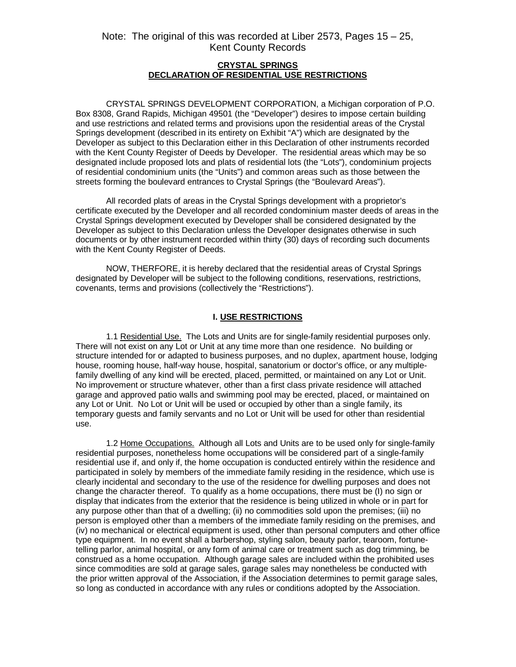#### **CRYSTAL SPRINGS DECLARATION OF RESIDENTIAL USE RESTRICTIONS**

CRYSTAL SPRINGS DEVELOPMENT CORPORATION, a Michigan corporation of P.O. Box 8308, Grand Rapids, Michigan 49501 (the "Developer") desires to impose certain building and use restrictions and related terms and provisions upon the residential areas of the Crystal Springs development (described in its entirety on Exhibit "A") which are designated by the Developer as subject to this Declaration either in this Declaration of other instruments recorded with the Kent County Register of Deeds by Developer. The residential areas which may be so designated include proposed lots and plats of residential lots (the "Lots"), condominium projects of residential condominium units (the "Units") and common areas such as those between the streets forming the boulevard entrances to Crystal Springs (the "Boulevard Areas").

All recorded plats of areas in the Crystal Springs development with a proprietor's certificate executed by the Developer and all recorded condominium master deeds of areas in the Crystal Springs development executed by Developer shall be considered designated by the Developer as subject to this Declaration unless the Developer designates otherwise in such documents or by other instrument recorded within thirty (30) days of recording such documents with the Kent County Register of Deeds.

NOW, THERFORE, it is hereby declared that the residential areas of Crystal Springs designated by Developer will be subject to the following conditions, reservations, restrictions, covenants, terms and provisions (collectively the "Restrictions").

#### **I. USE RESTRICTIONS**

1.1 Residential Use. The Lots and Units are for single-family residential purposes only. There will not exist on any Lot or Unit at any time more than one residence. No building or structure intended for or adapted to business purposes, and no duplex, apartment house, lodging house, rooming house, half-way house, hospital, sanatorium or doctor's office, or any multiplefamily dwelling of any kind will be erected, placed, permitted, or maintained on any Lot or Unit. No improvement or structure whatever, other than a first class private residence will attached garage and approved patio walls and swimming pool may be erected, placed, or maintained on any Lot or Unit. No Lot or Unit will be used or occupied by other than a single family, its temporary guests and family servants and no Lot or Unit will be used for other than residential use.

1.2 Home Occupations. Although all Lots and Units are to be used only for single-family residential purposes, nonetheless home occupations will be considered part of a single-family residential use if, and only if, the home occupation is conducted entirely within the residence and participated in solely by members of the immediate family residing in the residence, which use is clearly incidental and secondary to the use of the residence for dwelling purposes and does not change the character thereof. To qualify as a home occupations, there must be (I) no sign or display that indicates from the exterior that the residence is being utilized in whole or in part for any purpose other than that of a dwelling; (ii) no commodities sold upon the premises; (iii) no person is employed other than a members of the immediate family residing on the premises, and (iv) no mechanical or electrical equipment is used, other than personal computers and other office type equipment. In no event shall a barbershop, styling salon, beauty parlor, tearoom, fortunetelling parlor, animal hospital, or any form of animal care or treatment such as dog trimming, be construed as a home occupation. Although garage sales are included within the prohibited uses since commodities are sold at garage sales, garage sales may nonetheless be conducted with the prior written approval of the Association, if the Association determines to permit garage sales, so long as conducted in accordance with any rules or conditions adopted by the Association.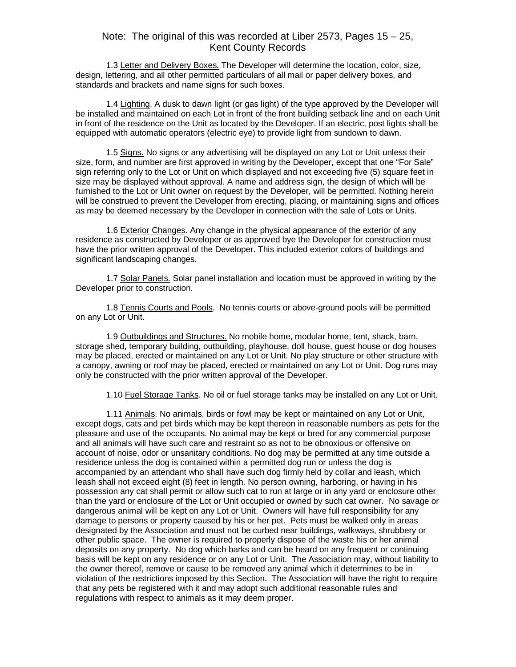1.3 Letter and Delivery Boxes. The Developer will determine the location, color, size, design, lettering, and all other permitted particulars of all mail or paper delivery boxes, and standards and brackets and name signs for such boxes.

1.4 Lighting. A dusk to dawn light (or gas light) of the type approved by the Developer will be installed and maintained on each Lot in front of the front building setback line and on each Unit in front of the residence on the Unit as located by the Developer. If an electric, post lights shall be equipped with automatic operators (electric eye) to provide light from sundown to dawn.

1.5 Signs. No signs or any advertising will be displayed on any Lot or Unit unless their size, form, and number are first approved in writing by the Developer, except that one "For Sale" sign referring only to the Lot or Unit on which displayed and not exceeding five (5) square feet in size may be displayed without approval. A name and address sign, the design of which will be furnished to the Lot or Unit owner on request by the Developer, will be permitted. Nothing herein will be construed to prevent the Developer from erecting, placing, or maintaining signs and offices as may be deemed necessary by the Developer in connection with the sale of Lots or Units.

1.6 Exterior Changes. Any change in the physical appearance of the exterior of any residence as constructed by Developer or as approved bye the Developer for construction must have the prior written approval of the Developer. This included exterior colors of buildings and significant landscaping changes.

1.7 Solar Panels. Solar panel installation and location must be approved in writing by the Developer prior to construction.

1.8 Tennis Courts and Pools. No tennis courts or above-ground pools will be permitted on any Lot or Unit.

1.9 Outbuildings and Structures. No mobile home, modular home, tent, shack, barn, storage shed, temporary building, outbuilding, playhouse, doll house, guest house or dog houses may be placed, erected or maintained on any Lot or Unit. No play structure or other structure with a canopy, awning or roof may be placed, erected or maintained on any Lot or Unit. Dog runs may only be constructed with the prior written approval of the Developer.

1.10 Fuel Storage Tanks. No oil or fuel storage tanks may be installed on any Lot or Unit.

1.11 Animals. No animals, birds or fowl may be kept or maintained on any Lot or Unit, except dogs, cats and pet birds which may be kept thereon in reasonable numbers as pets for the pleasure and use of the occupants. No animal may be kept or bred for any commercial purpose and all animals will have such care and restraint so as not to be obnoxious or offensive on account of noise, odor or unsanitary conditions. No dog may be permitted at any time outside a residence unless the dog is contained within a permitted dog run or unless the dog is accompanied by an attendant who shall have such dog firmly held by collar and leash, which leash shall not exceed eight (8) feet in length. No person owning, harboring, or having in his possession any cat shall permit or allow such cat to run at large or in any yard or enclosure other than the yard or enclosure of the Lot or Unit occupied or owned by such cat owner. No savage or dangerous animal will be kept on any Lot or Unit. Owners will have full responsibility for any damage to persons or property caused by his or her pet. Pets must be walked only in areas designated by the Association and must not be curbed near buildings, walkways, shrubbery or other public space. The owner is required to properly dispose of the waste his or her animal deposits on any property. No dog which barks and can be heard on any frequent or continuing basis will be kept on any residence or on any Lot or Unit. The Association may, without liability to the owner thereof, remove or cause to be removed any animal which it determines to be in violation of the restrictions imposed by this Section. The Association will have the right to require that any pets be registered with it and may adopt such additional reasonable rules and regulations with respect to animals as it may deem proper.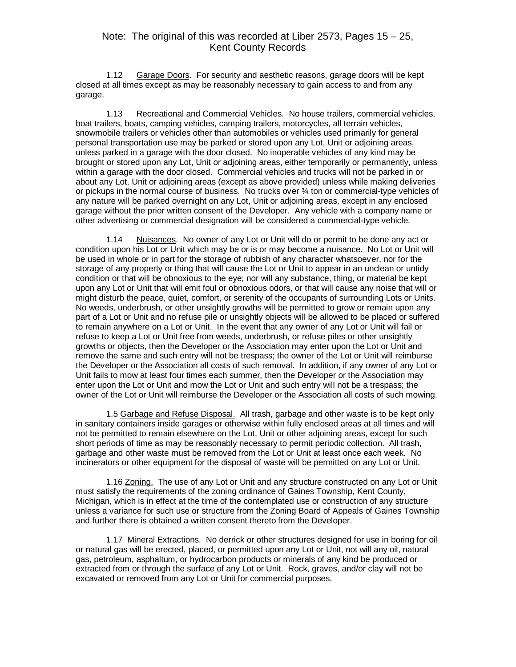1.12 Garage Doors. For security and aesthetic reasons, garage doors will be kept closed at all times except as may be reasonably necessary to gain access to and from any garage.

1.13 Recreational and Commercial Vehicles. No house trailers, commercial vehicles, boat trailers, boats, camping vehicles, camping trailers, motorcycles, all terrain vehicles, snowmobile trailers or vehicles other than automobiles or vehicles used primarily for general personal transportation use may be parked or stored upon any Lot, Unit or adjoining areas, unless parked in a garage with the door closed. No inoperable vehicles of any kind may be brought or stored upon any Lot, Unit or adjoining areas, either temporarily or permanently, unless within a garage with the door closed. Commercial vehicles and trucks will not be parked in or about any Lot, Unit or adjoining areas (except as above provided) unless while making deliveries or pickups in the normal course of business. No trucks over ¾ ton or commercial-type vehicles of any nature will be parked overnight on any Lot, Unit or adjoining areas, except in any enclosed garage without the prior written consent of the Developer. Any vehicle with a company name or other advertising or commercial designation will be considered a commercial-type vehicle.

1.14 Nuisances. No owner of any Lot or Unit will do or permit to be done any act or condition upon his Lot or Unit which may be or is or may become a nuisance. No Lot or Unit will be used in whole or in part for the storage of rubbish of any character whatsoever, nor for the storage of any property or thing that will cause the Lot or Unit to appear in an unclean or untidy condition or that will be obnoxious to the eye; nor will any substance, thing, or material be kept upon any Lot or Unit that will emit foul or obnoxious odors, or that will cause any noise that will or might disturb the peace, quiet, comfort, or serenity of the occupants of surrounding Lots or Units. No weeds, underbrush, or other unsightly growths will be permitted to grow or remain upon any part of a Lot or Unit and no refuse pile or unsightly objects will be allowed to be placed or suffered to remain anywhere on a Lot or Unit. In the event that any owner of any Lot or Unit will fail or refuse to keep a Lot or Unit free from weeds, underbrush, or refuse piles or other unsightly growths or objects, then the Developer or the Association may enter upon the Lot or Unit and remove the same and such entry will not be trespass; the owner of the Lot or Unit will reimburse the Developer or the Association all costs of such removal. In addition, if any owner of any Lot or Unit fails to mow at least four times each summer, then the Developer or the Association may enter upon the Lot or Unit and mow the Lot or Unit and such entry will not be a trespass; the owner of the Lot or Unit will reimburse the Developer or the Association all costs of such mowing.

1.5 Garbage and Refuse Disposal. All trash, garbage and other waste is to be kept only in sanitary containers inside garages or otherwise within fully enclosed areas at all times and will not be permitted to remain elsewhere on the Lot, Unit or other adjoining areas, except for such short periods of time as may be reasonably necessary to permit periodic collection. All trash, garbage and other waste must be removed from the Lot or Unit at least once each week. No incinerators or other equipment for the disposal of waste will be permitted on any Lot or Unit.

1.16 Zoning. The use of any Lot or Unit and any structure constructed on any Lot or Unit must satisfy the requirements of the zoning ordinance of Gaines Township, Kent County, Michigan, which is in effect at the time of the contemplated use or construction of any structure unless a variance for such use or structure from the Zoning Board of Appeals of Gaines Township and further there is obtained a written consent thereto from the Developer.

1.17 Mineral Extractions. No derrick or other structures designed for use in boring for oil or natural gas will be erected, placed, or permitted upon any Lot or Unit, not will any oil, natural gas, petroleum, asphaltum, or hydrocarbon products or minerals of any kind be produced or extracted from or through the surface of any Lot or Unit. Rock, graves, and/or clay will not be excavated or removed from any Lot or Unit for commercial purposes.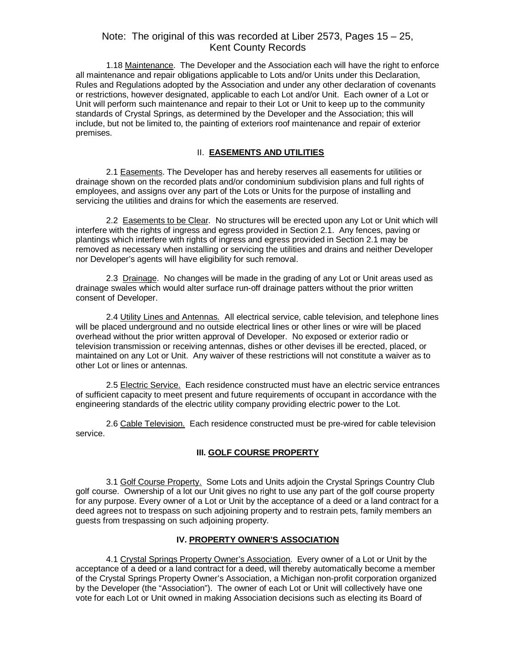1.18 Maintenance. The Developer and the Association each will have the right to enforce all maintenance and repair obligations applicable to Lots and/or Units under this Declaration, Rules and Regulations adopted by the Association and under any other declaration of covenants or restrictions, however designated, applicable to each Lot and/or Unit. Each owner of a Lot or Unit will perform such maintenance and repair to their Lot or Unit to keep up to the community standards of Crystal Springs, as determined by the Developer and the Association; this will include, but not be limited to, the painting of exteriors roof maintenance and repair of exterior premises.

### II. **EASEMENTS AND UTILITIES**

2.1 Easements. The Developer has and hereby reserves all easements for utilities or drainage shown on the recorded plats and/or condominium subdivision plans and full rights of employees, and assigns over any part of the Lots or Units for the purpose of installing and servicing the utilities and drains for which the easements are reserved.

2.2 Easements to be Clear. No structures will be erected upon any Lot or Unit which will interfere with the rights of ingress and egress provided in Section 2.1. Any fences, paving or plantings which interfere with rights of ingress and egress provided in Section 2.1 may be removed as necessary when installing or servicing the utilities and drains and neither Developer nor Developer's agents will have eligibility for such removal.

2.3 Drainage. No changes will be made in the grading of any Lot or Unit areas used as drainage swales which would alter surface run-off drainage patters without the prior written consent of Developer.

2.4 Utility Lines and Antennas. All electrical service, cable television, and telephone lines will be placed underground and no outside electrical lines or other lines or wire will be placed overhead without the prior written approval of Developer. No exposed or exterior radio or television transmission or receiving antennas, dishes or other devises ill be erected, placed, or maintained on any Lot or Unit. Any waiver of these restrictions will not constitute a waiver as to other Lot or lines or antennas.

2.5 Electric Service. Each residence constructed must have an electric service entrances of sufficient capacity to meet present and future requirements of occupant in accordance with the engineering standards of the electric utility company providing electric power to the Lot.

2.6 Cable Television. Each residence constructed must be pre-wired for cable television service.

#### **III. GOLF COURSE PROPERTY**

3.1 Golf Course Property. Some Lots and Units adjoin the Crystal Springs Country Club golf course. Ownership of a lot our Unit gives no right to use any part of the golf course property for any purpose. Every owner of a Lot or Unit by the acceptance of a deed or a land contract for a deed agrees not to trespass on such adjoining property and to restrain pets, family members an guests from trespassing on such adjoining property.

#### **IV. PROPERTY OWNER'S ASSOCIATION**

4.1 Crystal Springs Property Owner's Association. Every owner of a Lot or Unit by the acceptance of a deed or a land contract for a deed, will thereby automatically become a member of the Crystal Springs Property Owner's Association, a Michigan non-profit corporation organized by the Developer (the "Association"). The owner of each Lot or Unit will collectively have one vote for each Lot or Unit owned in making Association decisions such as electing its Board of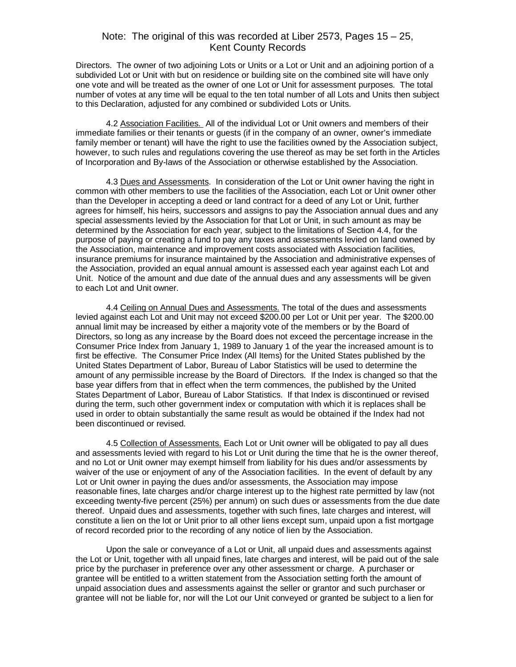Directors. The owner of two adjoining Lots or Units or a Lot or Unit and an adjoining portion of a subdivided Lot or Unit with but on residence or building site on the combined site will have only one vote and will be treated as the owner of one Lot or Unit for assessment purposes. The total number of votes at any time will be equal to the ten total number of all Lots and Units then subject to this Declaration, adjusted for any combined or subdivided Lots or Units.

4.2 Association Facilities. All of the individual Lot or Unit owners and members of their immediate families or their tenants or guests (if in the company of an owner, owner's immediate family member or tenant) will have the right to use the facilities owned by the Association subject, however, to such rules and regulations covering the use thereof as may be set forth in the Articles of Incorporation and By-laws of the Association or otherwise established by the Association.

4.3 Dues and Assessments. In consideration of the Lot or Unit owner having the right in common with other members to use the facilities of the Association, each Lot or Unit owner other than the Developer in accepting a deed or land contract for a deed of any Lot or Unit, further agrees for himself, his heirs, successors and assigns to pay the Association annual dues and any special assessments levied by the Association for that Lot or Unit, in such amount as may be determined by the Association for each year, subject to the limitations of Section 4.4, for the purpose of paying or creating a fund to pay any taxes and assessments levied on land owned by the Association, maintenance and improvement costs associated with Association facilities, insurance premiums for insurance maintained by the Association and administrative expenses of the Association, provided an equal annual amount is assessed each year against each Lot and Unit. Notice of the amount and due date of the annual dues and any assessments will be given to each Lot and Unit owner.

4.4 Ceiling on Annual Dues and Assessments. The total of the dues and assessments levied against each Lot and Unit may not exceed \$200.00 per Lot or Unit per year. The \$200.00 annual limit may be increased by either a majority vote of the members or by the Board of Directors, so long as any increase by the Board does not exceed the percentage increase in the Consumer Price Index from January 1, 1989 to January 1 of the year the increased amount is to first be effective. The Consumer Price Index (All Items) for the United States published by the United States Department of Labor, Bureau of Labor Statistics will be used to determine the amount of any permissible increase by the Board of Directors. If the Index is changed so that the base year differs from that in effect when the term commences, the published by the United States Department of Labor, Bureau of Labor Statistics. If that Index is discontinued or revised during the term, such other government index or computation with which it is replaces shall be used in order to obtain substantially the same result as would be obtained if the Index had not been discontinued or revised.

4.5 Collection of Assessments. Each Lot or Unit owner will be obligated to pay all dues and assessments levied with regard to his Lot or Unit during the time that he is the owner thereof, and no Lot or Unit owner may exempt himself from liability for his dues and/or assessments by waiver of the use or enjoyment of any of the Association facilities. In the event of default by any Lot or Unit owner in paying the dues and/or assessments, the Association may impose reasonable fines, late charges and/or charge interest up to the highest rate permitted by law (not exceeding twenty-five percent (25%) per annum) on such dues or assessments from the due date thereof. Unpaid dues and assessments, together with such fines, late charges and interest, will constitute a lien on the lot or Unit prior to all other liens except sum, unpaid upon a fist mortgage of record recorded prior to the recording of any notice of lien by the Association.

Upon the sale or conveyance of a Lot or Unit, all unpaid dues and assessments against the Lot or Unit, together with all unpaid fines, late charges and interest, will be paid out of the sale price by the purchaser in preference over any other assessment or charge. A purchaser or grantee will be entitled to a written statement from the Association setting forth the amount of unpaid association dues and assessments against the seller or grantor and such purchaser or grantee will not be liable for, nor will the Lot our Unit conveyed or granted be subject to a lien for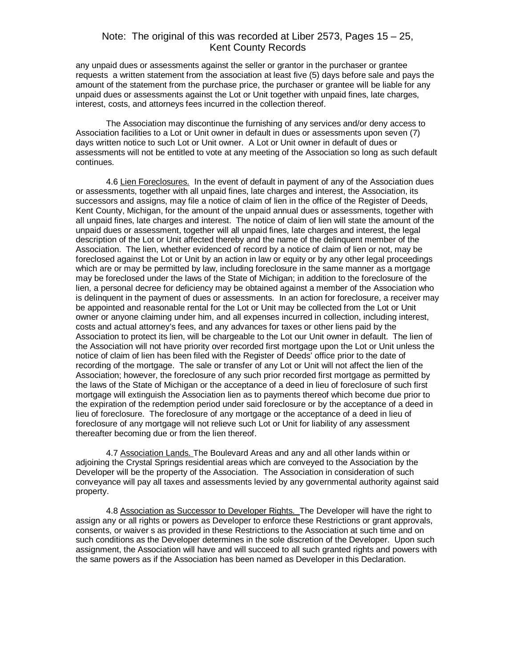any unpaid dues or assessments against the seller or grantor in the purchaser or grantee requests a written statement from the association at least five (5) days before sale and pays the amount of the statement from the purchase price, the purchaser or grantee will be liable for any unpaid dues or assessments against the Lot or Unit together with unpaid fines, late charges, interest, costs, and attorneys fees incurred in the collection thereof.

The Association may discontinue the furnishing of any services and/or deny access to Association facilities to a Lot or Unit owner in default in dues or assessments upon seven (7) days written notice to such Lot or Unit owner. A Lot or Unit owner in default of dues or assessments will not be entitled to vote at any meeting of the Association so long as such default continues.

4.6 Lien Foreclosures. In the event of default in payment of any of the Association dues or assessments, together with all unpaid fines, late charges and interest, the Association, its successors and assigns, may file a notice of claim of lien in the office of the Register of Deeds, Kent County, Michigan, for the amount of the unpaid annual dues or assessments, together with all unpaid fines, late charges and interest. The notice of claim of lien will state the amount of the unpaid dues or assessment, together will all unpaid fines, late charges and interest, the legal description of the Lot or Unit affected thereby and the name of the delinquent member of the Association. The lien, whether evidenced of record by a notice of claim of lien or not, may be foreclosed against the Lot or Unit by an action in law or equity or by any other legal proceedings which are or may be permitted by law, including foreclosure in the same manner as a mortgage may be foreclosed under the laws of the State of Michigan; in addition to the foreclosure of the lien, a personal decree for deficiency may be obtained against a member of the Association who is delinquent in the payment of dues or assessments. In an action for foreclosure, a receiver may be appointed and reasonable rental for the Lot or Unit may be collected from the Lot or Unit owner or anyone claiming under him, and all expenses incurred in collection, including interest, costs and actual attorney's fees, and any advances for taxes or other liens paid by the Association to protect its lien, will be chargeable to the Lot our Unit owner in default. The lien of the Association will not have priority over recorded first mortgage upon the Lot or Unit unless the notice of claim of lien has been filed with the Register of Deeds' office prior to the date of recording of the mortgage. The sale or transfer of any Lot or Unit will not affect the lien of the Association; however, the foreclosure of any such prior recorded first mortgage as permitted by the laws of the State of Michigan or the acceptance of a deed in lieu of foreclosure of such first mortgage will extinguish the Association lien as to payments thereof which become due prior to the expiration of the redemption period under said foreclosure or by the acceptance of a deed in lieu of foreclosure. The foreclosure of any mortgage or the acceptance of a deed in lieu of foreclosure of any mortgage will not relieve such Lot or Unit for liability of any assessment thereafter becoming due or from the lien thereof.

4.7 Association Lands. The Boulevard Areas and any and all other lands within or adjoining the Crystal Springs residential areas which are conveyed to the Association by the Developer will be the property of the Association. The Association in consideration of such conveyance will pay all taxes and assessments levied by any governmental authority against said property.

4.8 Association as Successor to Developer Rights. The Developer will have the right to assign any or all rights or powers as Developer to enforce these Restrictions or grant approvals, consents, or waiver s as provided in these Restrictions to the Association at such time and on such conditions as the Developer determines in the sole discretion of the Developer. Upon such assignment, the Association will have and will succeed to all such granted rights and powers with the same powers as if the Association has been named as Developer in this Declaration.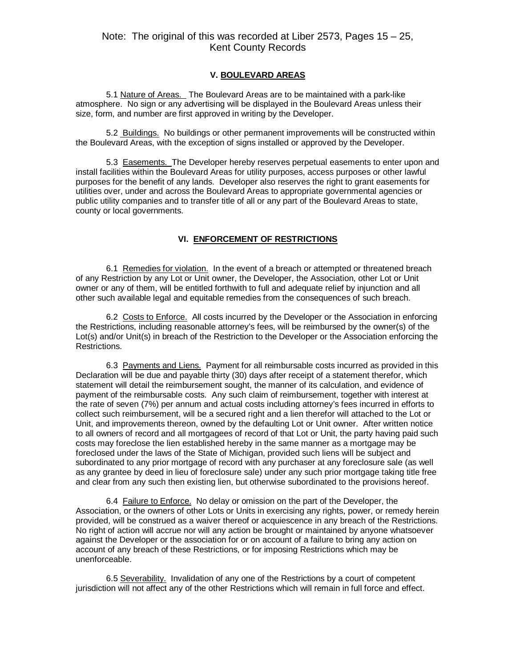#### **V. BOULEVARD AREAS**

5.1 Nature of Areas. The Boulevard Areas are to be maintained with a park-like atmosphere. No sign or any advertising will be displayed in the Boulevard Areas unless their size, form, and number are first approved in writing by the Developer.

5.2 Buildings. No buildings or other permanent improvements will be constructed within the Boulevard Areas, with the exception of signs installed or approved by the Developer.

5.3 Easements. The Developer hereby reserves perpetual easements to enter upon and install facilities within the Boulevard Areas for utility purposes, access purposes or other lawful purposes for the benefit of any lands. Developer also reserves the right to grant easements for utilities over, under and across the Boulevard Areas to appropriate governmental agencies or public utility companies and to transfer title of all or any part of the Boulevard Areas to state, county or local governments.

## **VI. ENFORCEMENT OF RESTRICTIONS**

6.1 Remedies for violation. In the event of a breach or attempted or threatened breach of any Restriction by any Lot or Unit owner, the Developer, the Association, other Lot or Unit owner or any of them, will be entitled forthwith to full and adequate relief by injunction and all other such available legal and equitable remedies from the consequences of such breach.

6.2 Costs to Enforce. All costs incurred by the Developer or the Association in enforcing the Restrictions, including reasonable attorney's fees, will be reimbursed by the owner(s) of the Lot(s) and/or Unit(s) in breach of the Restriction to the Developer or the Association enforcing the Restrictions.

6.3 Payments and Liens. Payment for all reimbursable costs incurred as provided in this Declaration will be due and payable thirty (30) days after receipt of a statement therefor, which statement will detail the reimbursement sought, the manner of its calculation, and evidence of payment of the reimbursable costs. Any such claim of reimbursement, together with interest at the rate of seven (7%) per annum and actual costs including attorney's fees incurred in efforts to collect such reimbursement, will be a secured right and a lien therefor will attached to the Lot or Unit, and improvements thereon, owned by the defaulting Lot or Unit owner. After written notice to all owners of record and all mortgagees of record of that Lot or Unit, the party having paid such costs may foreclose the lien established hereby in the same manner as a mortgage may be foreclosed under the laws of the State of Michigan, provided such liens will be subject and subordinated to any prior mortgage of record with any purchaser at any foreclosure sale (as well as any grantee by deed in lieu of foreclosure sale) under any such prior mortgage taking title free and clear from any such then existing lien, but otherwise subordinated to the provisions hereof.

6.4 Failure to Enforce. No delay or omission on the part of the Developer, the Association, or the owners of other Lots or Units in exercising any rights, power, or remedy herein provided, will be construed as a waiver thereof or acquiescence in any breach of the Restrictions. No right of action will accrue nor will any action be brought or maintained by anyone whatsoever against the Developer or the association for or on account of a failure to bring any action on account of any breach of these Restrictions, or for imposing Restrictions which may be unenforceable.

6.5 Severability. Invalidation of any one of the Restrictions by a court of competent jurisdiction will not affect any of the other Restrictions which will remain in full force and effect.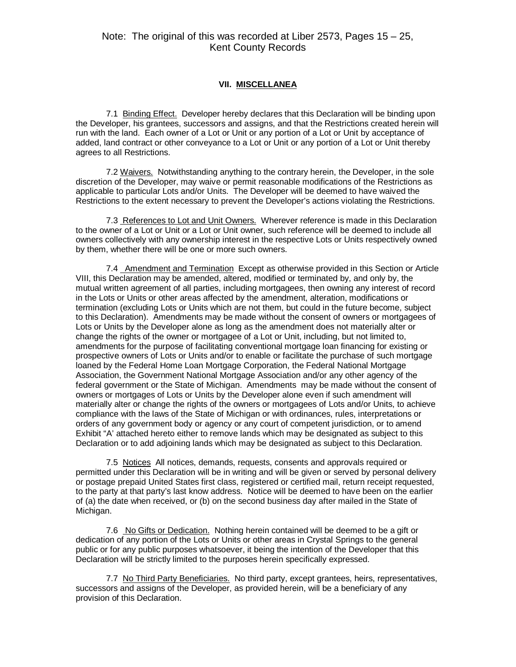#### **VII. MISCELLANEA**

7.1 Binding Effect. Developer hereby declares that this Declaration will be binding upon the Developer, his grantees, successors and assigns, and that the Restrictions created herein will run with the land. Each owner of a Lot or Unit or any portion of a Lot or Unit by acceptance of added, land contract or other conveyance to a Lot or Unit or any portion of a Lot or Unit thereby agrees to all Restrictions.

7.2 Waivers. Notwithstanding anything to the contrary herein, the Developer, in the sole discretion of the Developer, may waive or permit reasonable modifications of the Restrictions as applicable to particular Lots and/or Units. The Developer will be deemed to have waived the Restrictions to the extent necessary to prevent the Developer's actions violating the Restrictions.

7.3 References to Lot and Unit Owners. Wherever reference is made in this Declaration to the owner of a Lot or Unit or a Lot or Unit owner, such reference will be deemed to include all owners collectively with any ownership interest in the respective Lots or Units respectively owned by them, whether there will be one or more such owners.

7.4 Amendment and Termination Except as otherwise provided in this Section or Article VIII, this Declaration may be amended, altered, modified or terminated by, and only by, the mutual written agreement of all parties, including mortgagees, then owning any interest of record in the Lots or Units or other areas affected by the amendment, alteration, modifications or termination (excluding Lots or Units which are not them, but could in the future become, subject to this Declaration). Amendments may be made without the consent of owners or mortgagees of Lots or Units by the Developer alone as long as the amendment does not materially alter or change the rights of the owner or mortgagee of a Lot or Unit, including, but not limited to, amendments for the purpose of facilitating conventional mortgage loan financing for existing or prospective owners of Lots or Units and/or to enable or facilitate the purchase of such mortgage loaned by the Federal Home Loan Mortgage Corporation, the Federal National Mortgage Association, the Government National Mortgage Association and/or any other agency of the federal government or the State of Michigan. Amendments may be made without the consent of owners or mortgages of Lots or Units by the Developer alone even if such amendment will materially alter or change the rights of the owners or mortgagees of Lots and/or Units, to achieve compliance with the laws of the State of Michigan or with ordinances, rules, interpretations or orders of any government body or agency or any court of competent jurisdiction, or to amend Exhibit "A' attached hereto either to remove lands which may be designated as subject to this Declaration or to add adjoining lands which may be designated as subject to this Declaration.

7.5 Notices All notices, demands, requests, consents and approvals required or permitted under this Declaration will be in writing and will be given or served by personal delivery or postage prepaid United States first class, registered or certified mail, return receipt requested, to the party at that party's last know address. Notice will be deemed to have been on the earlier of (a) the date when received, or (b) on the second business day after mailed in the State of Michigan.

7.6 No Gifts or Dedication. Nothing herein contained will be deemed to be a gift or dedication of any portion of the Lots or Units or other areas in Crystal Springs to the general public or for any public purposes whatsoever, it being the intention of the Developer that this Declaration will be strictly limited to the purposes herein specifically expressed.

7.7 No Third Party Beneficiaries. No third party, except grantees, heirs, representatives, successors and assigns of the Developer, as provided herein, will be a beneficiary of any provision of this Declaration.